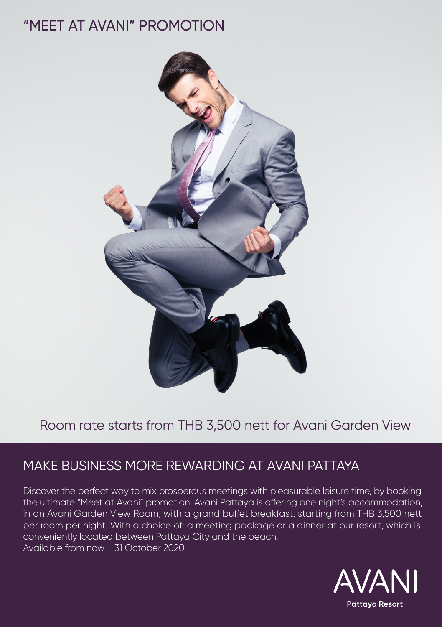# "MEET AT AVANI" PROMOTION



# Room rate starts from THB 3,500 nett for Avani Garden View

# MAKE BUSINESS MORE REWARDING AT AVANI PATTAYA

Discover the perfect way to mix prosperous meetings with pleasurable leisure time, by booking the ultimate "Meet at Avani" promotion. Avani Pattaya is offering one night's accommodation, in an Avani Garden View Room, with a grand buffet breakfast, starting from THB 3,500 nett per room per night. With a choice of: a meeting package or a dinner at our resort, which is conveniently located between Pattaya City and the beach. Available from now - 31 October 2020.